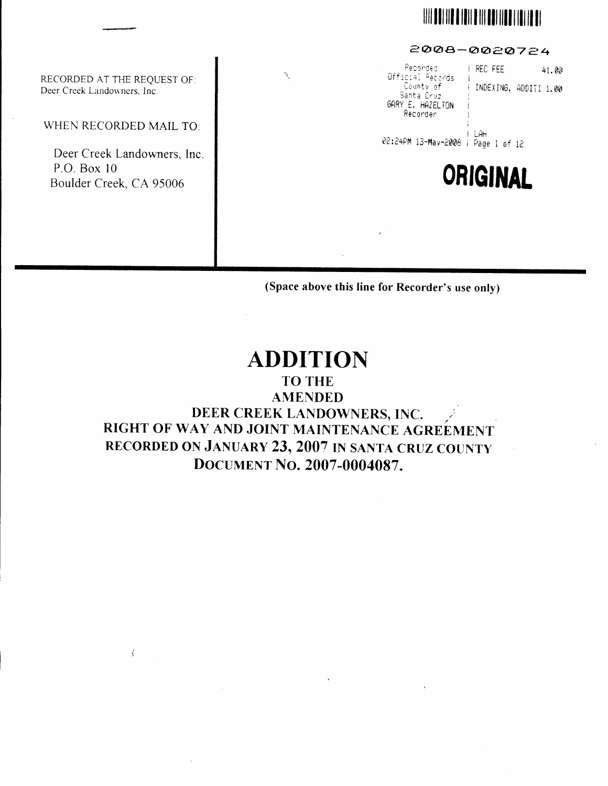## **WE ARE THE REAL PROPERTY OF A REAL PROPERTY**

#### 2008-0020724

RECORDED AT THE REQUEST OF: Deer Creek Landowners, Inc.

WHEN RECORDED MAIL TO:

Deer Creek Landowners, Inc. P.O. Box 10 Boulder Creek, CA 95006

 $\left\langle \right\rangle$ 

| $\mathcal{N}_{\mathcal{C}}$ | Recorded<br>Official Records<br>Santa Cruz<br>GARY E. HAZELTON<br>Recorder | REC FEE<br>County of HNDEXING, ADDITI 1.00 | 41.00 |
|-----------------------------|----------------------------------------------------------------------------|--------------------------------------------|-------|
|                             | @2:24PM 13-May-2008   Page 1 of 12                                         | ∣ LAH                                      |       |
|                             |                                                                            | ORIGINAL                                   |       |
|                             | ×                                                                          |                                            |       |

(Space above this line for Recorder's use only)

## **ADDITION**

### **TO THE AMENDED** DEER CREEK LANDOWNERS, INC. RIGHT OF WAY AND JOINT MAINTENANCE AGREEMENT RECORDED ON JANUARY 23, 2007 IN SANTA CRUZ COUNTY DOCUMENT NO. 2007-0004087.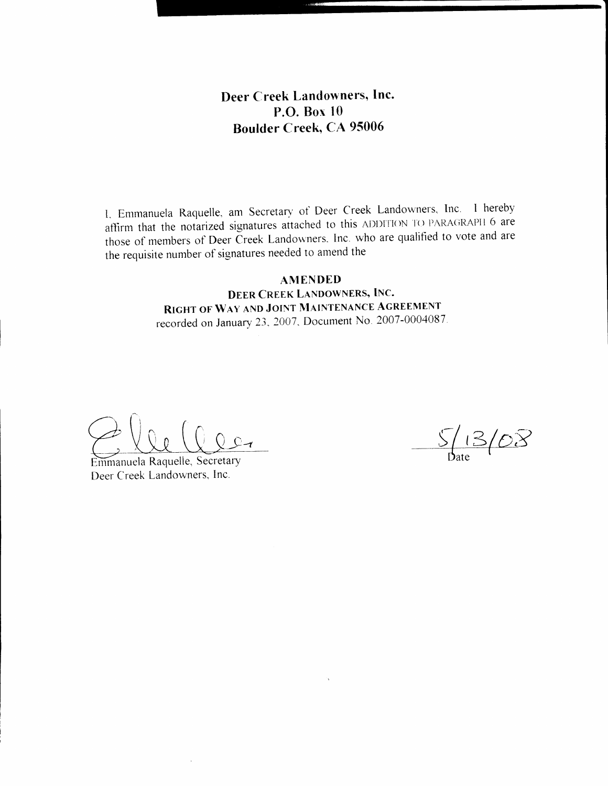#### Deer Creek Landowners, Inc. P.O. Box  $10$ **Boulder Creek, CA 95006**

1. Emmanuela Raquelle, am Secretary of Deer Creek Landowners, Inc. I hereby affirm that the notarized signatures attached to this ADDITION TO PARAGRAPH 6 are those of members of Deer Creek Landowners. Inc. who are qualified to vote and are the requisite number of signatures needed to amend the

#### **AMENDED**

DEER CREEK LANDOWNERS, INC. RIGHT OF WAY AND JOINT MAINTENANCE AGREEMENT recorded on January 23, 2007, Document No. 2007-0004087.

Emmanuela Raquelle, Secretary Deer Creek Landowners, Inc.

 $\frac{\int$  13/08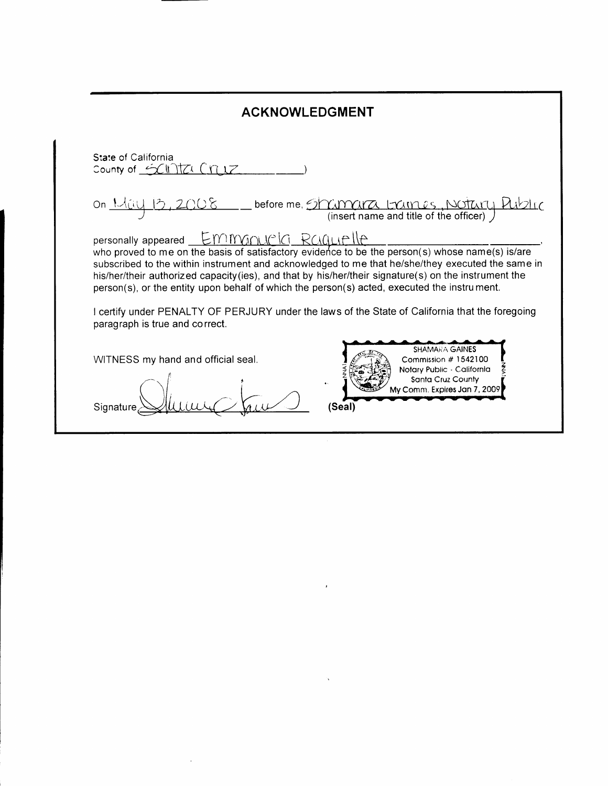| <b>ACKNOWLEDGMENT</b>                                                                                                                                                                                                                                                                                                                                                                                                                         |  |  |  |
|-----------------------------------------------------------------------------------------------------------------------------------------------------------------------------------------------------------------------------------------------------------------------------------------------------------------------------------------------------------------------------------------------------------------------------------------------|--|--|--|
| State of California<br>County of $\leq$ (1) ITZL $\int$ $\int$ $\int$ $\int$                                                                                                                                                                                                                                                                                                                                                                  |  |  |  |
| before me, Shammar Laimes, Notar                                                                                                                                                                                                                                                                                                                                                                                                              |  |  |  |
| personally appeared $E$ MM $W$<br>who proved to me on the basis of satisfactory evidence to be the person(s) whose name(s) is/are<br>subscribed to the within instrument and acknowledged to me that he/she/they executed the same in<br>his/her/their authorized capacity (ies), and that by his/her/their signature(s) on the instrument the<br>person(s), or the entity upon behalf of which the person(s) acted, executed the instrument. |  |  |  |
| I certify under PENALTY OF PERJURY under the laws of the State of California that the foregoing<br>paragraph is true and correct.                                                                                                                                                                                                                                                                                                             |  |  |  |
| <b>SHAMARA GAINES</b><br>WITNESS my hand and official seal.<br>Commission # 1542100<br>Notary Public - California<br>Santa Cruz County<br>My Comm. Expires Jan 7, 2009<br>(Seal)                                                                                                                                                                                                                                                              |  |  |  |

 $\mathcal{L}^{\mathcal{L}}(\mathcal{A})$  and  $\mathcal{L}^{\mathcal{L}}(\mathcal{A})$  and

 $\label{eq:2.1} \frac{1}{\sqrt{2\pi}}\int_{0}^{\infty}\frac{1}{\sqrt{2\pi}}\left(\frac{1}{\sqrt{2\pi}}\right)^{2\sqrt{2}}\frac{1}{\sqrt{2\pi}}\int_{0}^{\infty}\frac{1}{\sqrt{2\pi}}\frac{1}{\sqrt{2\pi}}\frac{1}{\sqrt{2\pi}}\frac{1}{\sqrt{2\pi}}\frac{1}{\sqrt{2\pi}}\frac{1}{\sqrt{2\pi}}\frac{1}{\sqrt{2\pi}}\frac{1}{\sqrt{2\pi}}\frac{1}{\sqrt{2\pi}}\frac{1}{\sqrt{2\pi}}\frac{1}{\sqrt{2\pi}}\$ 

 $\bar{\gamma}$